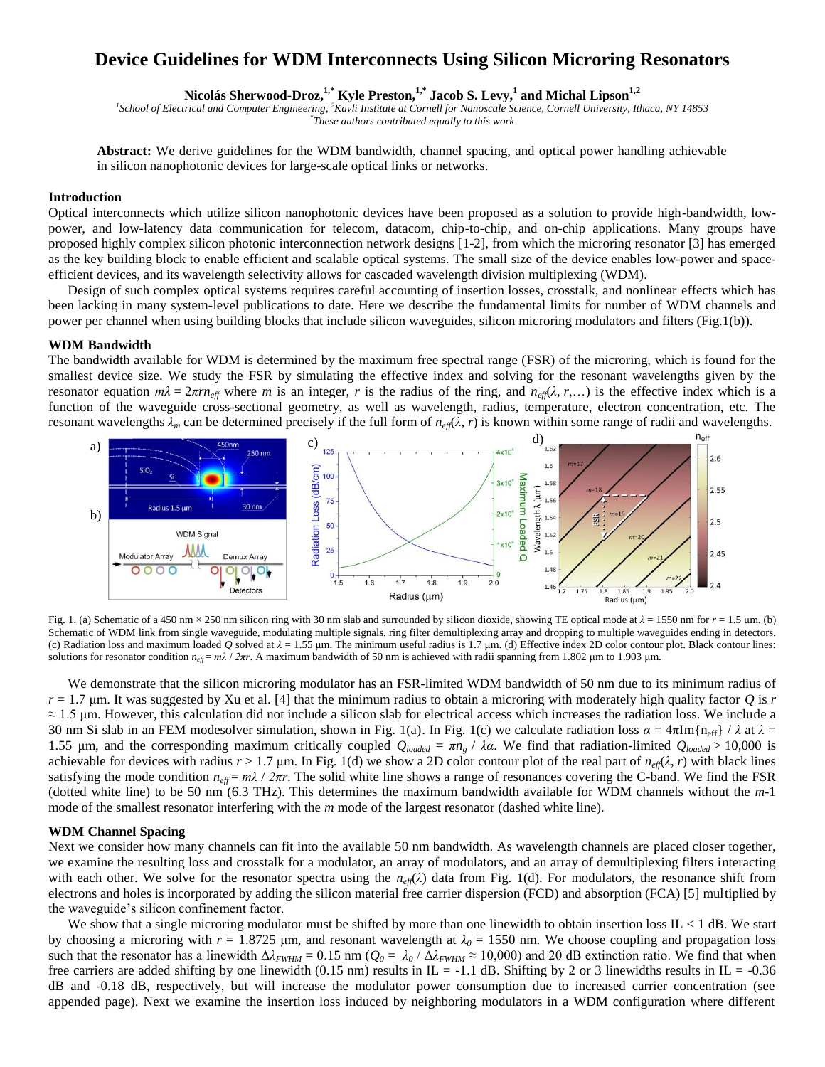# **Device Guidelines for WDM Interconnects Using Silicon Microring Resonators**

**Nicolás Sherwood-Droz,<sup>1,\*</sup> Kyle Preston,<sup>1,\*</sup> Jacob S. Levy,<sup>1</sup> and Michal Lipson<sup>1,2</sup><br><sup>1</sup>School of Electrical and Computer Engineering, <sup>2</sup>Kavli Institute at Cornell for Nanoscale Science, Cornell University, Ithaca, N** *\* These authors contributed equally to this work* 

**Abstract:** We derive guidelines for the WDM bandwidth, channel spacing, and optical power handling achievable in silicon nanophotonic devices for large-scale optical links or networks.

## **Introduction**

Optical interconnects which utilize silicon nanophotonic devices have been proposed as a solution to provide high-bandwidth, lowpower, and low-latency data communication for telecom, datacom, chip-to-chip, and on-chip applications. Many groups have proposed highly complex silicon photonic interconnection network designs [1-2], from which the microring resonator [3] has emerged as the key building block to enable efficient and scalable optical systems. The small size of the device enables low-power and spaceefficient devices, and its wavelength selectivity allows for cascaded wavelength division multiplexing (WDM).

Design of such complex optical systems requires careful accounting of insertion losses, crosstalk, and nonlinear effects which has been lacking in many system-level publications to date. Here we describe the fundamental limits for number of WDM channels and power per channel when using building blocks that include silicon waveguides, silicon microring modulators and filters (Fig.1(b)).

#### **WDM Bandwidth**

The bandwidth available for WDM is determined by the maximum free spectral range (FSR) of the microring, which is found for the smallest device size. We study the FSR by simulating the effective index and solving for the resonant wavelengths given by the resonator equation  $m\lambda = 2\pi r n_{\text{eff}}$  where *m* is an integer, *r* is the radius of the ring, and  $n_{\text{eff}}(\lambda, r, \dots)$  is the effective index which is a function of the waveguide cross-sectional geometry, as well as wavelength, radius, temperature, electron concentration, etc. The resonant wavelengths  $\lambda_m$  can be determined precisely if the full form of  $n_{\text{eff}}(\lambda, r)$  is known within some range of radii and wavelengths.



Fig. 1. (a) Schematic of a 450 nm  $\times$  250 nm silicon ring with 30 nm slab and surrounded by silicon dioxide, showing TE optical mode at  $\lambda$  = 1550 nm for *r* = 1.5 µm. (b) Schematic of WDM link from single waveguide, modulating multiple signals, ring filter demultiplexing array and dropping to multiple waveguides ending in detectors. (c) Radiation loss and maximum loaded *Q* solved at *λ* = 1.55 μm. The minimum useful radius is 1.7 μm. (d) Effective index 2D color contour plot. Black contour lines: solutions for resonator condition  $n_{\text{eff}} = m\lambda / 2\pi r$ . A maximum bandwidth of 50 nm is achieved with radii spanning from 1.802 μm to 1.903 μm.

We demonstrate that the silicon microring modulator has an FSR-limited WDM bandwidth of 50 nm due to its minimum radius of  $r = 1.7$   $\mu$ m. It was suggested by Xu et al. [4] that the minimum radius to obtain a microring with moderately high quality factor *Q* is *r*  $\approx$  1.5 μm. However, this calculation did not include a silicon slab for electrical access which increases the radiation loss. We include a 30 nm Si slab in an FEM modesolver simulation, shown in Fig. 1(a). In Fig. 1(c) we calculate radiation loss  $α = 4πIm{n<sub>eff</sub>} / λ$  at  $λ =$ 1.55 μm, and the corresponding maximum critically coupled  $Q_{loaded} = \pi n_g / \lambda \alpha$ . We find that radiation-limited  $Q_{loaded} > 10,000$  is achievable for devices with radius  $r > 1.7$  μm. In Fig. 1(d) we show a 2D color contour plot of the real part of *n<sub>eff</sub>*( $λ$ ,  $r$ ) with black lines satisfying the mode condition  $n_{\text{eff}} = m\lambda / 2\pi r$ . The solid white line shows a range of resonances covering the C-band. We find the FSR (dotted white line) to be 50 nm (6.3 THz). This determines the maximum bandwidth available for WDM channels without the *m*-1 mode of the smallest resonator interfering with the *m* mode of the largest resonator (dashed white line).

### **WDM Channel Spacing**

Next we consider how many channels can fit into the available 50 nm bandwidth. As wavelength channels are placed closer together, we examine the resulting loss and crosstalk for a modulator, an array of modulators, and an array of demultiplexing filters interacting with each other. We solve for the resonator spectra using the  $n_{\text{eff}}(\lambda)$  data from Fig. 1(d). For modulators, the resonance shift from electrons and holes is incorporated by adding the silicon material free carrier dispersion (FCD) and absorption (FCA) [5] multiplied by the waveguide's silicon confinement factor.

We show that a single microring modulator must be shifted by more than one linewidth to obtain insertion loss  $IL < 1$  dB. We start by choosing a microring with  $r = 1.8725$  µm, and resonant wavelength at  $\lambda_0 = 1550$  nm. We choose coupling and propagation loss such that the resonator has a linewidth  $\Delta \lambda_{FWHM} = 0.15$  nm ( $Q_0 = \lambda_0 / \Delta \lambda_{FWHM} \approx 10,000$ ) and 20 dB extinction ratio. We find that when free carriers are added shifting by one linewidth (0.15 nm) results in IL = -1.1 dB. Shifting by 2 or 3 linewidths results in IL = -0.36 dB and -0.18 dB, respectively, but will increase the modulator power consumption due to increased carrier concentration (see appended page). Next we examine the insertion loss induced by neighboring modulators in a WDM configuration where different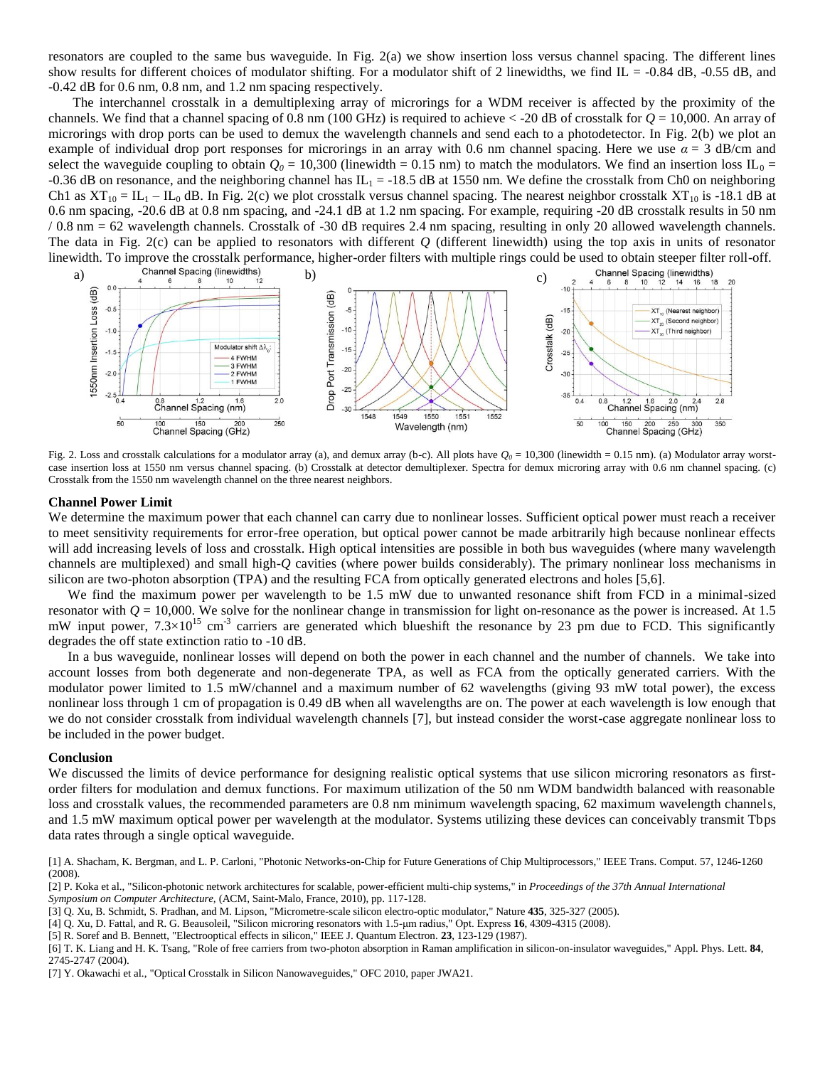resonators are coupled to the same bus waveguide. In Fig. 2(a) we show insertion loss versus channel spacing. The different lines show results for different choices of modulator shifting. For a modulator shift of 2 linewidths, we find  $IL = -0.84$  dB,  $-0.55$  dB, and -0.42 dB for 0.6 nm, 0.8 nm, and 1.2 nm spacing respectively.

The interchannel crosstalk in a demultiplexing array of microrings for a WDM receiver is affected by the proximity of the channels. We find that a channel spacing of 0.8 nm (100 GHz) is required to achieve < -20 dB of crosstalk for *Q* = 10,000. An array of microrings with drop ports can be used to demux the wavelength channels and send each to a photodetector. In Fig. 2(b) we plot an example of individual drop port responses for microrings in an array with 0.6 nm channel spacing. Here we use  $\alpha = 3$  dB/cm and select the waveguide coupling to obtain  $Q_0 = 10,300$  (linewidth = 0.15 nm) to match the modulators. We find an insertion loss  $IL_0 =$ -0.36 dB on resonance, and the neighboring channel has  $IL_1 = -18.5$  dB at 1550 nm. We define the crosstalk from Ch0 on neighboring Ch1 as  $XT_{10} = IL_1 - IL_0$  dB. In Fig. 2(c) we plot crosstalk versus channel spacing. The nearest neighbor crosstalk  $XT_{10}$  is -18.1 dB at 0.6 nm spacing, -20.6 dB at 0.8 nm spacing, and -24.1 dB at 1.2 nm spacing. For example, requiring -20 dB crosstalk results in 50 nm / 0.8 nm = 62 wavelength channels. Crosstalk of -30 dB requires 2.4 nm spacing, resulting in only 20 allowed wavelength channels. The data in Fig. 2(c) can be applied to resonators with different *Q* (different linewidth) using the top axis in units of resonator



Fig. 2. Loss and crosstalk calculations for a modulator array (a), and demux array (b-c). All plots have  $Q_0 = 10,300$  (linewidth = 0.15 nm). (a) Modulator array worstcase insertion loss at 1550 nm versus channel spacing. (b) Crosstalk at detector demultiplexer. Spectra for demux microring array with 0.6 nm channel spacing. (c) Crosstalk from the 1550 nm wavelength channel on the three nearest neighbors.

## **Channel Power Limit**

We determine the maximum power that each channel can carry due to nonlinear losses. Sufficient optical power must reach a receiver to meet sensitivity requirements for error-free operation, but optical power cannot be made arbitrarily high because nonlinear effects will add increasing levels of loss and crosstalk. High optical intensities are possible in both bus waveguides (where many wavelength channels are multiplexed) and small high-*Q* cavities (where power builds considerably). The primary nonlinear loss mechanisms in silicon are two-photon absorption (TPA) and the resulting FCA from optically generated electrons and holes [5,6].

We find the maximum power per wavelength to be 1.5 mW due to unwanted resonance shift from FCD in a minimal-sized resonator with *Q* = 10,000. We solve for the nonlinear change in transmission for light on-resonance as the power is increased. At 1.5 mW input power,  $7.3 \times 10^{15}$  cm<sup>-3</sup> carriers are generated which blueshift the resonance by 23 pm due to FCD. This significantly degrades the off state extinction ratio to -10 dB.

In a bus waveguide, nonlinear losses will depend on both the power in each channel and the number of channels. We take into account losses from both degenerate and non-degenerate TPA, as well as FCA from the optically generated carriers. With the modulator power limited to 1.5 mW/channel and a maximum number of 62 wavelengths (giving 93 mW total power), the excess nonlinear loss through 1 cm of propagation is 0.49 dB when all wavelengths are on. The power at each wavelength is low enough that we do not consider crosstalk from individual wavelength channels [7], but instead consider the worst-case aggregate nonlinear loss to be included in the power budget.

#### **Conclusion**

We discussed the limits of device performance for designing realistic optical systems that use silicon microring resonators as firstorder filters for modulation and demux functions. For maximum utilization of the 50 nm WDM bandwidth balanced with reasonable loss and crosstalk values, the recommended parameters are 0.8 nm minimum wavelength spacing, 62 maximum wavelength channels, and 1.5 mW maximum optical power per wavelength at the modulator. Systems utilizing these devices can conceivably transmit Tbps data rates through a single optical waveguide.

[1] A. Shacham, K. Bergman, and L. P. Carloni, "Photonic Networks-on-Chip for Future Generations of Chip Multiprocessors," IEEE Trans. Comput. 57, 1246-1260 (2008).

[2] P. Koka et al., "Silicon-photonic network architectures for scalable, power-efficient multi-chip systems," in *Proceedings of the 37th Annual International Symposium on Computer Architecture,* (ACM, Saint-Malo, France, 2010), pp. 117-128.

- [3] Q. Xu, B. Schmidt, S. Pradhan, and M. Lipson, "Micrometre-scale silicon electro-optic modulator," Nature **435**, 325-327 (2005).
- [4] Q. Xu, D. Fattal, and R. G. Beausoleil, "Silicon microring resonators with 1.5-μm radius," Opt. Express **16**, 4309-4315 (2008).
- [5] R. Soref and B. Bennett, "Electrooptical effects in silicon," IEEE J. Quantum Electron. **23**, 123-129 (1987).

[6] T. K. Liang and H. K. Tsang, "Role of free carriers from two-photon absorption in Raman amplification in silicon-on-insulator waveguides," Appl. Phys. Lett. **84**, 2745-2747 (2004).

[7] Y. Okawachi et al., "Optical Crosstalk in Silicon Nanowaveguides," OFC 2010, paper JWA21.